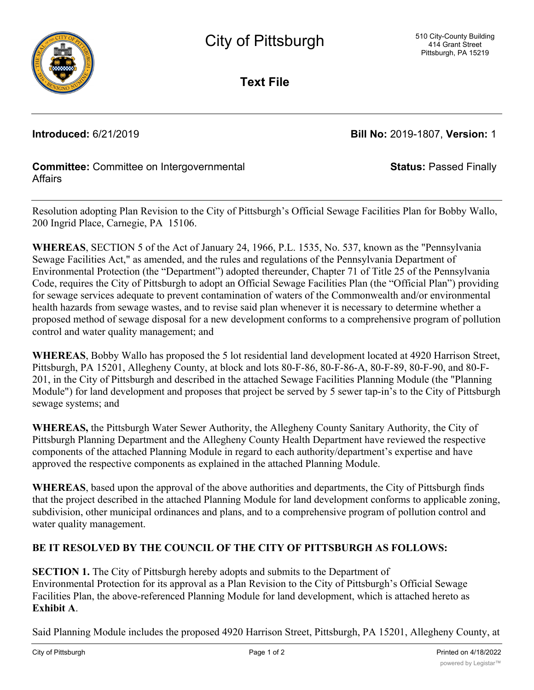

**Text File**

**Introduced:** 6/21/2019 **Bill No:** 2019-1807, **Version:** 1

**Status:** Passed Finally

## **Committee:** Committee on Intergovernmental **Affairs**

Resolution adopting Plan Revision to the City of Pittsburgh's Official Sewage Facilities Plan for Bobby Wallo, 200 Ingrid Place, Carnegie, PA 15106.

**WHEREAS**, SECTION 5 of the Act of January 24, 1966, P.L. 1535, No. 537, known as the "Pennsylvania Sewage Facilities Act," as amended, and the rules and regulations of the Pennsylvania Department of Environmental Protection (the "Department") adopted thereunder, Chapter 71 of Title 25 of the Pennsylvania Code, requires the City of Pittsburgh to adopt an Official Sewage Facilities Plan (the "Official Plan") providing for sewage services adequate to prevent contamination of waters of the Commonwealth and/or environmental health hazards from sewage wastes, and to revise said plan whenever it is necessary to determine whether a proposed method of sewage disposal for a new development conforms to a comprehensive program of pollution control and water quality management; and

**WHEREAS**, Bobby Wallo has proposed the 5 lot residential land development located at 4920 Harrison Street, Pittsburgh, PA 15201, Allegheny County, at block and lots 80-F-86, 80-F-86-A, 80-F-89, 80-F-90, and 80-F-201, in the City of Pittsburgh and described in the attached Sewage Facilities Planning Module (the "Planning Module") for land development and proposes that project be served by 5 sewer tap-in's to the City of Pittsburgh sewage systems; and

**WHEREAS,** the Pittsburgh Water Sewer Authority, the Allegheny County Sanitary Authority, the City of Pittsburgh Planning Department and the Allegheny County Health Department have reviewed the respective components of the attached Planning Module in regard to each authority/department's expertise and have approved the respective components as explained in the attached Planning Module.

**WHEREAS**, based upon the approval of the above authorities and departments, the City of Pittsburgh finds that the project described in the attached Planning Module for land development conforms to applicable zoning, subdivision, other municipal ordinances and plans, and to a comprehensive program of pollution control and water quality management.

# **BE IT RESOLVED BY THE COUNCIL OF THE CITY OF PITTSBURGH AS FOLLOWS:**

**SECTION 1.** The City of Pittsburgh hereby adopts and submits to the Department of Environmental Protection for its approval as a Plan Revision to the City of Pittsburgh's Official Sewage Facilities Plan, the above-referenced Planning Module for land development, which is attached hereto as **Exhibit A**.

Said Planning Module includes the proposed 4920 Harrison Street, Pittsburgh, PA 15201, Allegheny County, at